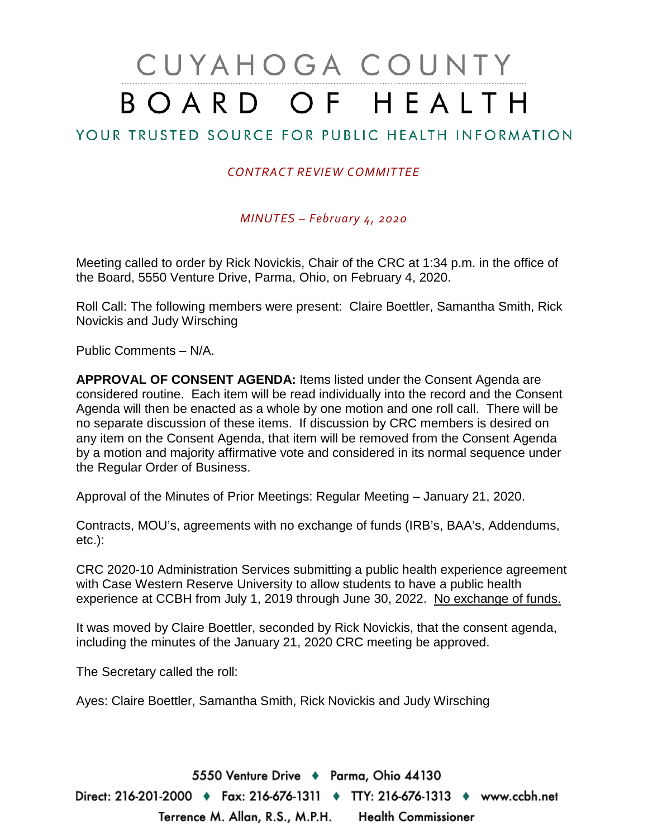# CUYAHOGA COUNTY BOARD OF HEALTH

### YOUR TRUSTED SOURCE FOR PUBLIC HEALTH INFORMATION

#### *CONTRACT REVIEW COMMITTEE*

*MINUTES – February 4, 2020*

Meeting called to order by Rick Novickis, Chair of the CRC at 1:34 p.m. in the office of the Board, 5550 Venture Drive, Parma, Ohio, on February 4, 2020.

Roll Call: The following members were present: Claire Boettler, Samantha Smith, Rick Novickis and Judy Wirsching

Public Comments – N/A.

**APPROVAL OF CONSENT AGENDA:** Items listed under the Consent Agenda are considered routine. Each item will be read individually into the record and the Consent Agenda will then be enacted as a whole by one motion and one roll call. There will be no separate discussion of these items. If discussion by CRC members is desired on any item on the Consent Agenda, that item will be removed from the Consent Agenda by a motion and majority affirmative vote and considered in its normal sequence under the Regular Order of Business.

Approval of the Minutes of Prior Meetings: Regular Meeting – January 21, 2020.

Contracts, MOU's, agreements with no exchange of funds (IRB's, BAA's, Addendums, etc.):

CRC 2020-10 Administration Services submitting a public health experience agreement with Case Western Reserve University to allow students to have a public health experience at CCBH from July 1, 2019 through June 30, 2022. No exchange of funds.

It was moved by Claire Boettler, seconded by Rick Novickis, that the consent agenda, including the minutes of the January 21, 2020 CRC meeting be approved.

The Secretary called the roll:

Ayes: Claire Boettler, Samantha Smith, Rick Novickis and Judy Wirsching

5550 Venture Drive + Parma, Ohio 44130 Direct: 216-201-2000 ♦ Fax: 216-676-1311 ♦ TTY: 216-676-1313 ♦ www.ccbh.net Terrence M. Allan, R.S., M.P.H. Health Commissioner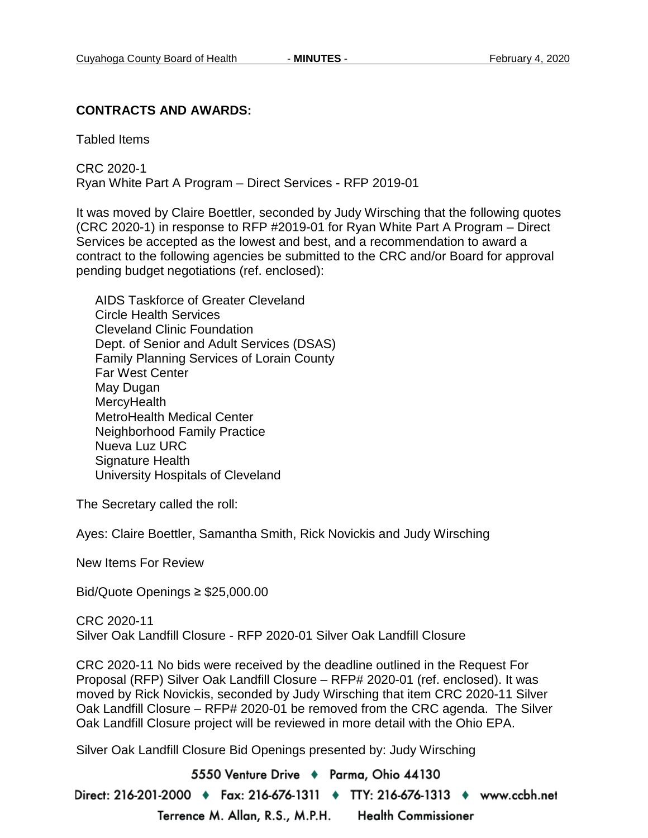#### **CONTRACTS AND AWARDS:**

Tabled Items

CRC 2020-1 Ryan White Part A Program – Direct Services - RFP 2019-01

It was moved by Claire Boettler, seconded by Judy Wirsching that the following quotes (CRC 2020-1) in response to RFP #2019-01 for Ryan White Part A Program – Direct Services be accepted as the lowest and best, and a recommendation to award a contract to the following agencies be submitted to the CRC and/or Board for approval pending budget negotiations (ref. enclosed):

AIDS Taskforce of Greater Cleveland Circle Health Services Cleveland Clinic Foundation Dept. of Senior and Adult Services (DSAS) Family Planning Services of Lorain County Far West Center May Dugan **MercyHealth** MetroHealth Medical Center Neighborhood Family Practice Nueva Luz URC Signature Health University Hospitals of Cleveland

The Secretary called the roll:

Ayes: Claire Boettler, Samantha Smith, Rick Novickis and Judy Wirsching

New Items For Review

Bid/Quote Openings ≥ \$25,000.00

CRC 2020-11 Silver Oak Landfill Closure - RFP 2020-01 Silver Oak Landfill Closure

CRC 2020-11 No bids were received by the deadline outlined in the Request For Proposal (RFP) Silver Oak Landfill Closure – RFP# 2020-01 (ref. enclosed). It was moved by Rick Novickis, seconded by Judy Wirsching that item CRC 2020-11 Silver Oak Landfill Closure – RFP# 2020-01 be removed from the CRC agenda. The Silver Oak Landfill Closure project will be reviewed in more detail with the Ohio EPA.

Silver Oak Landfill Closure Bid Openings presented by: Judy Wirsching

5550 Venture Drive + Parma, Ohio 44130 Direct: 216-201-2000 ♦ Fax: 216-676-1311 ♦ TTY: 216-676-1313 ♦ www.ccbh.net Terrence M. Allan, R.S., M.P.H. **Health Commissioner**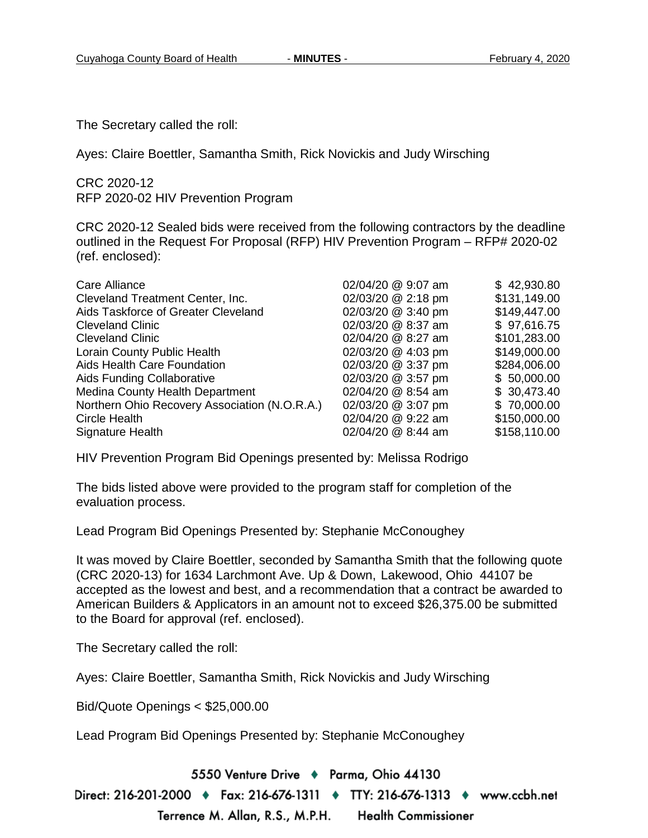The Secretary called the roll:

Ayes: Claire Boettler, Samantha Smith, Rick Novickis and Judy Wirsching

CRC 2020-12 RFP 2020-02 HIV Prevention Program

CRC 2020-12 Sealed bids were received from the following contractors by the deadline outlined in the Request For Proposal (RFP) HIV Prevention Program – RFP# 2020-02 (ref. enclosed):

| <b>Care Alliance</b>                          | 02/04/20 @ 9:07 am | \$42,930.80  |
|-----------------------------------------------|--------------------|--------------|
| Cleveland Treatment Center, Inc.              | 02/03/20 @ 2:18 pm | \$131,149.00 |
| Aids Taskforce of Greater Cleveland           | 02/03/20 @ 3:40 pm | \$149,447.00 |
| <b>Cleveland Clinic</b>                       | 02/03/20 @ 8:37 am | \$97,616.75  |
| <b>Cleveland Clinic</b>                       | 02/04/20 @ 8:27 am | \$101,283.00 |
| Lorain County Public Health                   | 02/03/20 @ 4:03 pm | \$149,000.00 |
| Aids Health Care Foundation                   | 02/03/20 @ 3:37 pm | \$284,006.00 |
| Aids Funding Collaborative                    | 02/03/20 @ 3:57 pm | \$50,000.00  |
| <b>Medina County Health Department</b>        | 02/04/20 @ 8:54 am | \$30,473.40  |
| Northern Ohio Recovery Association (N.O.R.A.) | 02/03/20 @ 3:07 pm | \$70,000.00  |
| <b>Circle Health</b>                          | 02/04/20 @ 9:22 am | \$150,000.00 |
| Signature Health                              | 02/04/20 @ 8:44 am | \$158,110.00 |

HIV Prevention Program Bid Openings presented by: Melissa Rodrigo

The bids listed above were provided to the program staff for completion of the evaluation process.

Lead Program Bid Openings Presented by: Stephanie McConoughey

It was moved by Claire Boettler, seconded by Samantha Smith that the following quote (CRC 2020-13) for 1634 Larchmont Ave. Up & Down, Lakewood, Ohio 44107 be accepted as the lowest and best, and a recommendation that a contract be awarded to American Builders & Applicators in an amount not to exceed \$26,375.00 be submitted to the Board for approval (ref. enclosed).

The Secretary called the roll:

Ayes: Claire Boettler, Samantha Smith, Rick Novickis and Judy Wirsching

Bid/Quote Openings < \$25,000.00

Lead Program Bid Openings Presented by: Stephanie McConoughey

5550 Venture Drive + Parma, Ohio 44130

Direct: 216-201-2000 ♦ Fax: 216-676-1311 ♦ TTY: 216-676-1313 ♦ www.ccbh.net Terrence M. Allan, R.S., M.P.H. Health Commissioner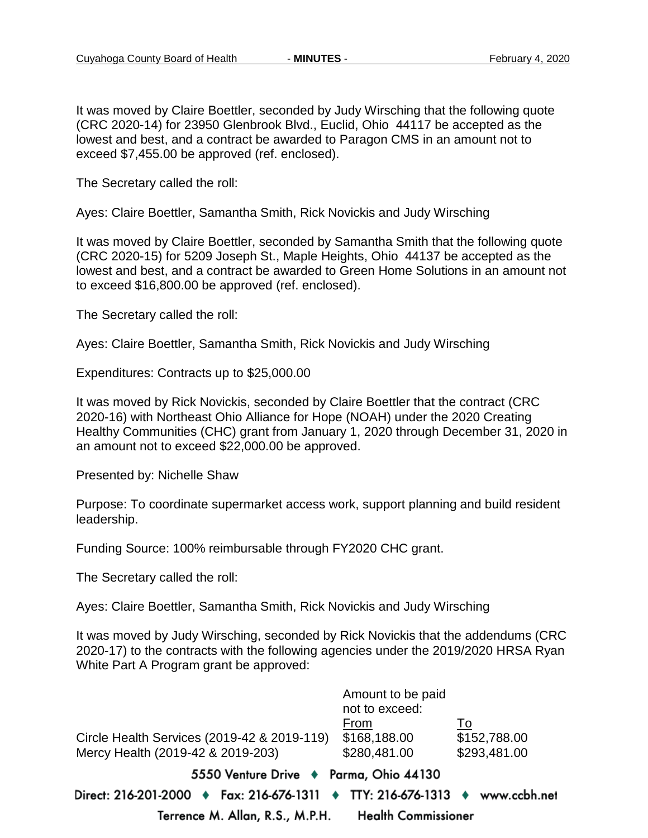It was moved by Claire Boettler, seconded by Judy Wirsching that the following quote (CRC 2020-14) for 23950 Glenbrook Blvd., Euclid, Ohio 44117 be accepted as the lowest and best, and a contract be awarded to Paragon CMS in an amount not to exceed \$7,455.00 be approved (ref. enclosed).

The Secretary called the roll:

Ayes: Claire Boettler, Samantha Smith, Rick Novickis and Judy Wirsching

It was moved by Claire Boettler, seconded by Samantha Smith that the following quote (CRC 2020-15) for 5209 Joseph St., Maple Heights, Ohio 44137 be accepted as the lowest and best, and a contract be awarded to Green Home Solutions in an amount not to exceed \$16,800.00 be approved (ref. enclosed).

The Secretary called the roll:

Ayes: Claire Boettler, Samantha Smith, Rick Novickis and Judy Wirsching

Expenditures: Contracts up to \$25,000.00

It was moved by Rick Novickis, seconded by Claire Boettler that the contract (CRC 2020-16) with Northeast Ohio Alliance for Hope (NOAH) under the 2020 Creating Healthy Communities (CHC) grant from January 1, 2020 through December 31, 2020 in an amount not to exceed \$22,000.00 be approved.

Presented by: Nichelle Shaw

Purpose: To coordinate supermarket access work, support planning and build resident leadership.

Funding Source: 100% reimbursable through FY2020 CHC grant.

The Secretary called the roll:

Ayes: Claire Boettler, Samantha Smith, Rick Novickis and Judy Wirsching

It was moved by Judy Wirsching, seconded by Rick Novickis that the addendums (CRC 2020-17) to the contracts with the following agencies under the 2019/2020 HRSA Ryan White Part A Program grant be approved:

|                                                                             | Amount to be paid<br>not to exceed: |              |
|-----------------------------------------------------------------------------|-------------------------------------|--------------|
|                                                                             | From                                | To           |
| Circle Health Services (2019-42 & 2019-119)                                 | \$168,188.00                        | \$152,788.00 |
| Mercy Health (2019-42 & 2019-203)                                           | \$280,481.00                        | \$293,481.00 |
| 5550 Venture Drive + Parma, Ohio 44130                                      |                                     |              |
| Direct: 216-201-2000 ♦ Fax: 216-676-1311 ♦ TTY: 216-676-1313 ♦ www.ccbh.net |                                     |              |
| Terrence M. Allan, R.S., M.P.H. Health Commissioner                         |                                     |              |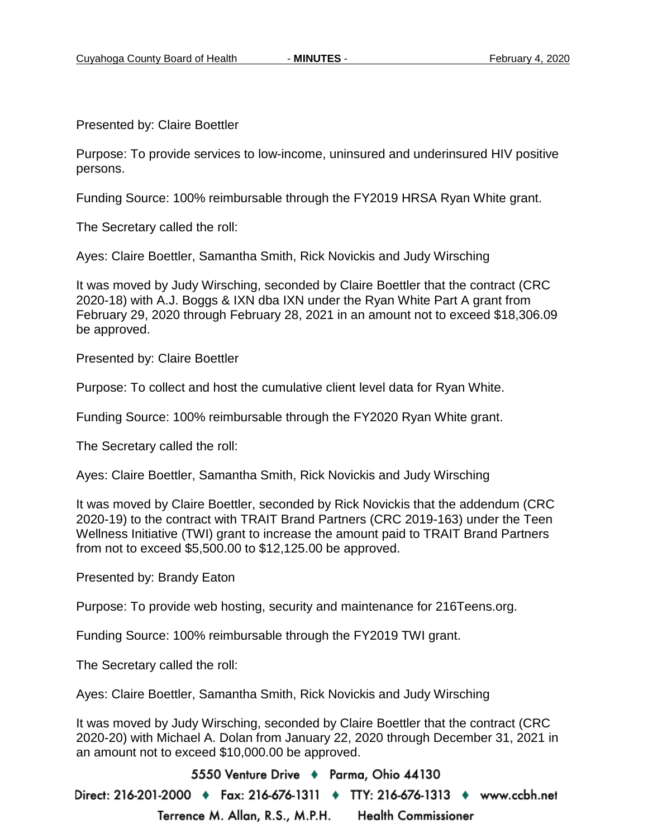Presented by: Claire Boettler

Purpose: To provide services to low-income, uninsured and underinsured HIV positive persons.

Funding Source: 100% reimbursable through the FY2019 HRSA Ryan White grant.

The Secretary called the roll:

Ayes: Claire Boettler, Samantha Smith, Rick Novickis and Judy Wirsching

It was moved by Judy Wirsching, seconded by Claire Boettler that the contract (CRC 2020-18) with A.J. Boggs & IXN dba IXN under the Ryan White Part A grant from February 29, 2020 through February 28, 2021 in an amount not to exceed \$18,306.09 be approved.

Presented by: Claire Boettler

Purpose: To collect and host the cumulative client level data for Ryan White.

Funding Source: 100% reimbursable through the FY2020 Ryan White grant.

The Secretary called the roll:

Ayes: Claire Boettler, Samantha Smith, Rick Novickis and Judy Wirsching

It was moved by Claire Boettler, seconded by Rick Novickis that the addendum (CRC 2020-19) to the contract with TRAIT Brand Partners (CRC 2019-163) under the Teen Wellness Initiative (TWI) grant to increase the amount paid to TRAIT Brand Partners from not to exceed \$5,500.00 to \$12,125.00 be approved.

Presented by: Brandy Eaton

Purpose: To provide web hosting, security and maintenance for 216Teens.org.

Funding Source: 100% reimbursable through the FY2019 TWI grant.

The Secretary called the roll:

Ayes: Claire Boettler, Samantha Smith, Rick Novickis and Judy Wirsching

It was moved by Judy Wirsching, seconded by Claire Boettler that the contract (CRC 2020-20) with Michael A. Dolan from January 22, 2020 through December 31, 2021 in an amount not to exceed \$10,000.00 be approved.

5550 Venture Drive + Parma, Ohio 44130

Direct: 216-201-2000 ♦ Fax: 216-676-1311 ♦ TTY: 216-676-1313 ♦ www.ccbh.net Terrence M. Allan, R.S., M.P.H. **Health Commissioner**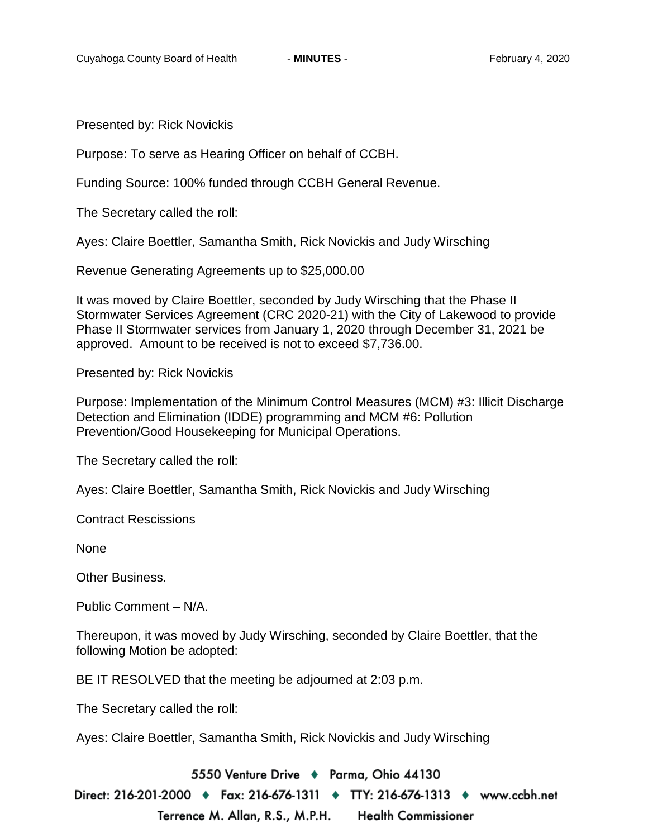Presented by: Rick Novickis

Purpose: To serve as Hearing Officer on behalf of CCBH.

Funding Source: 100% funded through CCBH General Revenue.

The Secretary called the roll:

Ayes: Claire Boettler, Samantha Smith, Rick Novickis and Judy Wirsching

Revenue Generating Agreements up to \$25,000.00

It was moved by Claire Boettler, seconded by Judy Wirsching that the Phase II Stormwater Services Agreement (CRC 2020-21) with the City of Lakewood to provide Phase II Stormwater services from January 1, 2020 through December 31, 2021 be approved. Amount to be received is not to exceed \$7,736.00.

Presented by: Rick Novickis

Purpose: Implementation of the Minimum Control Measures (MCM) #3: Illicit Discharge Detection and Elimination (IDDE) programming and MCM #6: Pollution Prevention/Good Housekeeping for Municipal Operations.

The Secretary called the roll:

Ayes: Claire Boettler, Samantha Smith, Rick Novickis and Judy Wirsching

Contract Rescissions

None

Other Business.

Public Comment – N/A.

Thereupon, it was moved by Judy Wirsching, seconded by Claire Boettler, that the following Motion be adopted:

BE IT RESOLVED that the meeting be adjourned at 2:03 p.m.

The Secretary called the roll:

Ayes: Claire Boettler, Samantha Smith, Rick Novickis and Judy Wirsching

5550 Venture Drive + Parma, Ohio 44130

Direct: 216-201-2000 ♦ Fax: 216-676-1311 ♦ TTY: 216-676-1313 ♦ www.ccbh.net Terrence M. Allan, R.S., M.P.H. **Health Commissioner**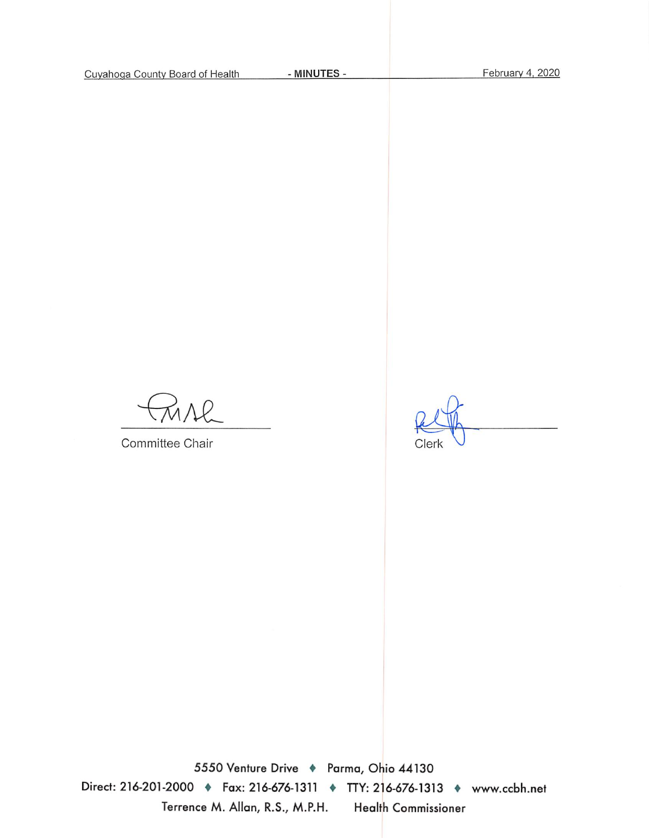$26$ 

Committee Chair

Clerk

5550 Venture Drive + Parma, Ohio 44130 Direct: 216-201-2000 • Fax: 216-676-1311 • TTY: 216-676-1313 • www.ccbh.net Terrence M. Allan, R.S., M.P.H. Health Commissioner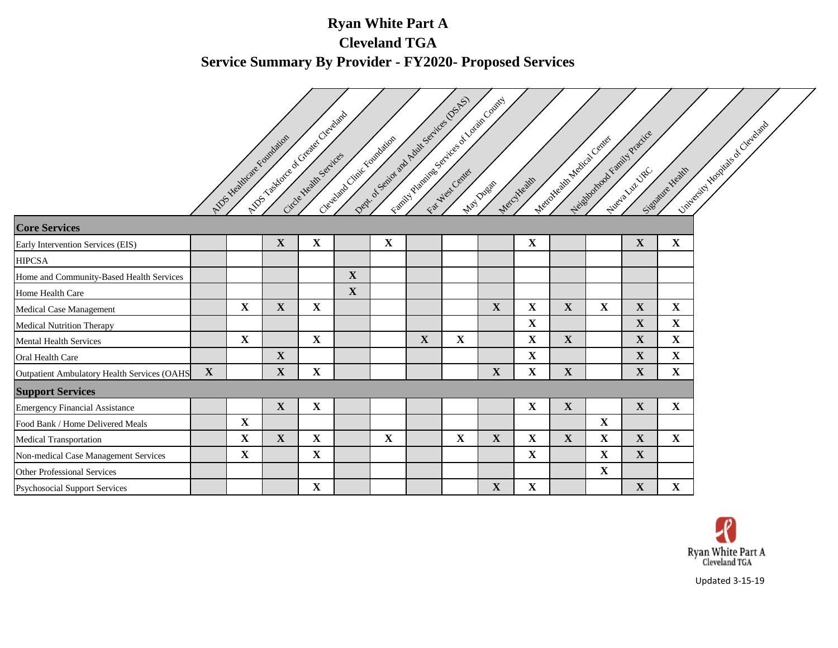# **Ryan White Part A Cleveland TGA Service Summary By Provider - FY2020- Proposed Services**

|                                             |             |             |                                                                    |             |             | Dept of Senior and Adult Senices (OSAS) |             |             | Feath of Prairies S of ideas of Lordin County |             |                     |             |                              |                                    |
|---------------------------------------------|-------------|-------------|--------------------------------------------------------------------|-------------|-------------|-----------------------------------------|-------------|-------------|-----------------------------------------------|-------------|---------------------|-------------|------------------------------|------------------------------------|
|                                             |             |             |                                                                    |             |             |                                         |             |             |                                               |             |                     |             |                              |                                    |
|                                             |             |             |                                                                    |             |             |                                         |             |             |                                               |             |                     |             |                              |                                    |
|                                             |             |             |                                                                    |             |             |                                         |             |             |                                               |             |                     |             |                              |                                    |
|                                             |             |             | Allow rightforce of Greater Cleveland<br>MDS Healthcare Foundation |             |             | Clevelation Critic Foundation           |             |             |                                               |             | Metapholical Center |             | Neighborrow Francis Practice | Limited styl Mosquals of Chevaland |
|                                             |             |             |                                                                    |             |             |                                         |             |             |                                               |             |                     |             |                              |                                    |
|                                             |             |             |                                                                    |             |             |                                         |             |             |                                               | Mercyteath  |                     |             |                              | Signature Health                   |
| <b>Core Services</b>                        |             |             |                                                                    |             |             |                                         |             |             |                                               |             |                     |             |                              |                                    |
| Early Intervention Services (EIS)           |             |             | $\mathbf X$                                                        | $\mathbf X$ |             | $\mathbf X$                             |             |             |                                               | $\mathbf X$ |                     |             | $\mathbf X$                  | $\mathbf X$                        |
| <b>HIPCSA</b>                               |             |             |                                                                    |             |             |                                         |             |             |                                               |             |                     |             |                              |                                    |
| Home and Community-Based Health Services    |             |             |                                                                    |             | $\mathbf X$ |                                         |             |             |                                               |             |                     |             |                              |                                    |
| Home Health Care                            |             |             |                                                                    |             | $\mathbf X$ |                                         |             |             |                                               |             |                     |             |                              |                                    |
| Medical Case Management                     |             | $\mathbf X$ | $\mathbf X$                                                        | $\mathbf X$ |             |                                         |             |             | $\mathbf X$                                   | $\mathbf X$ | $\mathbf X$         | $\mathbf X$ | $\mathbf X$                  | $\mathbf X$                        |
| <b>Medical Nutrition Therapy</b>            |             |             |                                                                    |             |             |                                         |             |             |                                               | $\mathbf X$ |                     |             | $\mathbf X$                  | $\mathbf X$                        |
| Mental Health Services                      |             | $\mathbf X$ |                                                                    | $\mathbf X$ |             |                                         | $\mathbf X$ | $\mathbf X$ |                                               | $\mathbf X$ | $\mathbf X$         |             | $\mathbf X$                  | $\mathbf{X}$                       |
| Oral Health Care                            |             |             | $\mathbf{X}$                                                       |             |             |                                         |             |             |                                               | $\mathbf X$ |                     |             | $\mathbf X$                  | $\mathbf X$                        |
| Outpatient Ambulatory Health Services (OAHS | $\mathbf X$ |             | $\mathbf{X}$                                                       | $\mathbf X$ |             |                                         |             |             | $\mathbf X$                                   | $\mathbf X$ | $\mathbf X$         |             | $\mathbf X$                  | $\mathbf X$                        |
| <b>Support Services</b>                     |             |             |                                                                    |             |             |                                         |             |             |                                               |             |                     |             |                              |                                    |
| <b>Emergency Financial Assistance</b>       |             |             | $\mathbf X$                                                        | $\mathbf X$ |             |                                         |             |             |                                               | $\mathbf X$ | $\mathbf{X}$        |             | $\mathbf X$                  | $\mathbf X$                        |
| Food Bank / Home Delivered Meals            |             | $\mathbf X$ |                                                                    |             |             |                                         |             |             |                                               |             |                     | $\mathbf X$ |                              |                                    |
| <b>Medical Transportation</b>               |             | $\mathbf X$ | $\mathbf X$                                                        | $\mathbf X$ |             | $\mathbf X$                             |             | $\mathbf X$ | $\mathbf X$                                   | $\mathbf X$ | $\mathbf X$         | $\mathbf X$ | $\mathbf X$                  | $\mathbf X$                        |
| Non-medical Case Management Services        |             | $\mathbf X$ |                                                                    | $\mathbf X$ |             |                                         |             |             |                                               | $\mathbf X$ |                     | $\mathbf X$ | $\mathbf X$                  |                                    |
| <b>Other Professional Services</b>          |             |             |                                                                    |             |             |                                         |             |             |                                               |             |                     | $\mathbf X$ |                              |                                    |
| <b>Psychosocial Support Services</b>        |             |             |                                                                    | $\mathbf X$ |             |                                         |             |             | $\mathbf X$                                   | $\mathbf X$ |                     |             | $\mathbf X$                  | $\mathbf{X}$                       |



Updated 3-15-19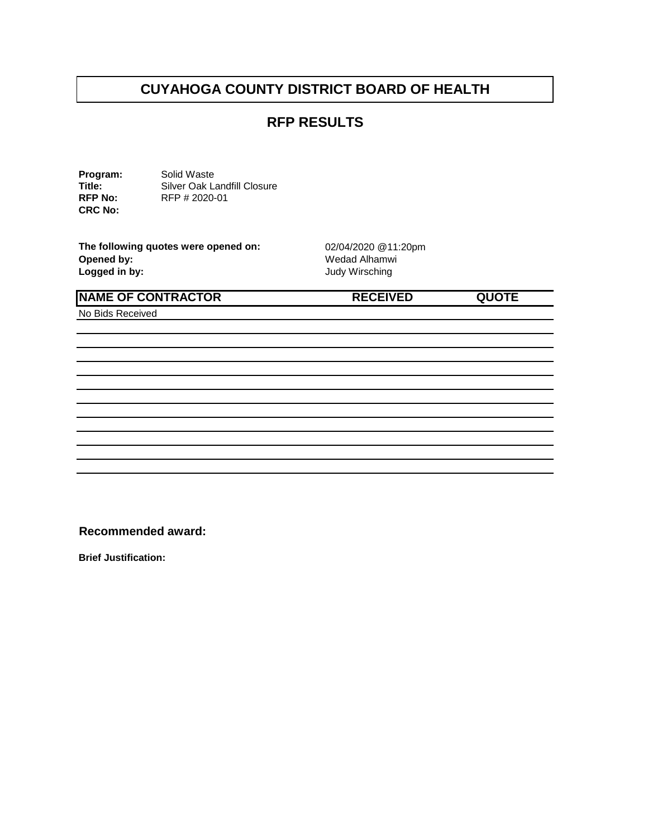#### **RFP RESULTS**

**Program:** Solid Waste<br> **Title:** Silver Oak La **Title:** Silver Oak Landfill Closure<br> **RFP No:** RFP # 2020-01 **RFP No:** RFP # 2020-01 **CRC No:** 

**The following quotes were opened on:** 02/04/2020 @11:20pm<br>Opened by: Wedad Alhamwi **Opened by:** Wedad Alhamwi<br> **Logged in by:** Network Contract Contract Contract Contract Contract Contract Contract Contract Contract Contract Contract Contract Contract Contract Contract Contract Contract Contract Contract

**Logged in by:** Judy Wirsching

| <b>NAME OF CONTRACTOR</b> | <b>RECEIVED</b> | <b>QUOTE</b> |
|---------------------------|-----------------|--------------|
| No Bids Received          |                 |              |
|                           |                 |              |
|                           |                 |              |
|                           |                 |              |
|                           |                 |              |
|                           |                 |              |
|                           |                 |              |

**Recommended award:** 

**Brief Justification:**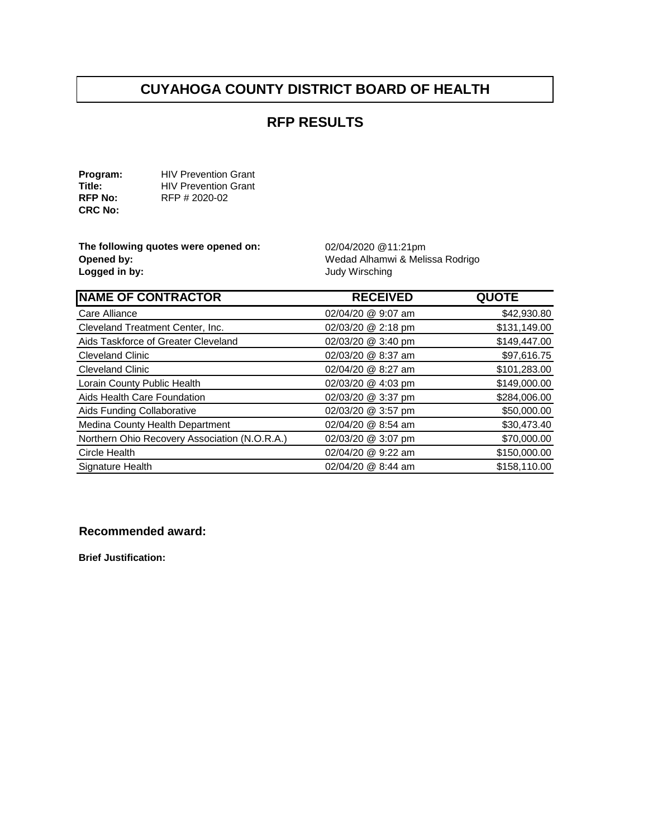#### **RFP RESULTS**

**Program:** HIV Prevention Grant<br> **Title:** HIV Prevention Grant **Title:** HIV Prevention Grant<br> **RFP No:** RFP # 2020-02 **RFP No:** RFP # 2020-02 **CRC No:** 

**The following quotes were opened on:** 02/04/2020 @11:21pm<br> **Opened by:** Wedad Alhamwi & Meli **Opened by: Opened by: Wedad Alhamwi & Melissa Rodrigo**<br> **Logged in by: Wedad Alhamwi & Melissa Rodrigo** 

**Logged in by:** Judy Wirsching

| <b>NAME OF CONTRACTOR</b>                     | <b>RECEIVED</b>    | <b>QUOTE</b> |
|-----------------------------------------------|--------------------|--------------|
| Care Alliance                                 | 02/04/20 @ 9:07 am | \$42,930.80  |
| Cleveland Treatment Center, Inc.              | 02/03/20 @ 2:18 pm | \$131,149.00 |
| Aids Taskforce of Greater Cleveland           | 02/03/20 @ 3:40 pm | \$149,447.00 |
| <b>Cleveland Clinic</b>                       | 02/03/20 @ 8:37 am | \$97,616.75  |
| <b>Cleveland Clinic</b>                       | 02/04/20 @ 8:27 am | \$101,283.00 |
| Lorain County Public Health                   | 02/03/20 @ 4:03 pm | \$149,000.00 |
| Aids Health Care Foundation                   | 02/03/20 @ 3:37 pm | \$284,006.00 |
| Aids Funding Collaborative                    | 02/03/20 @ 3:57 pm | \$50,000.00  |
| Medina County Health Department               | 02/04/20 @ 8:54 am | \$30,473.40  |
| Northern Ohio Recovery Association (N.O.R.A.) | 02/03/20 @ 3:07 pm | \$70,000.00  |
| Circle Health                                 | 02/04/20 @ 9:22 am | \$150,000.00 |
| Signature Health                              | 02/04/20 @ 8:44 am | \$158,110.00 |

#### **Recommended award:**

**Brief Justification:**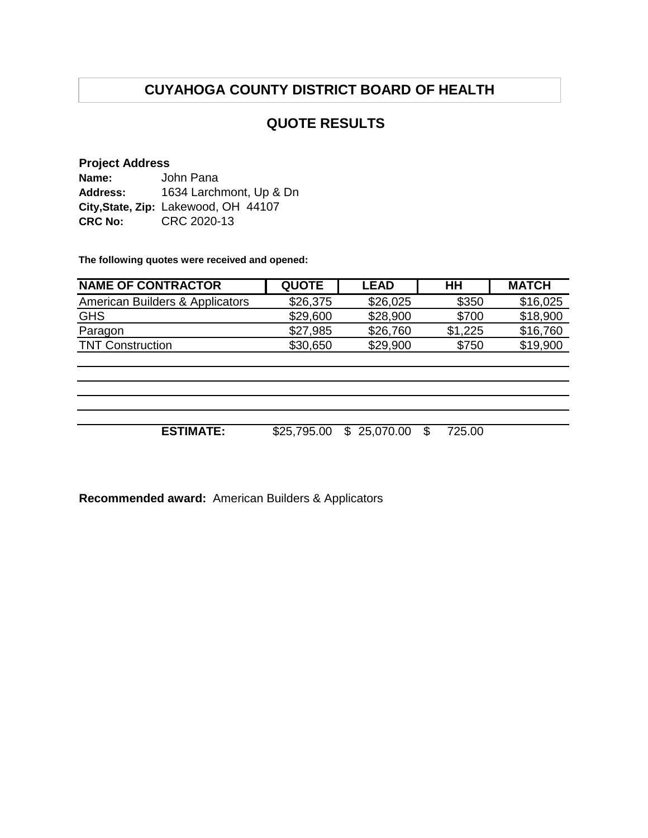#### **QUOTE RESULTS**

#### **Project Address Name: Address: City,State, Zip:** Lakewood, OH 44107 **CRC No:** CRC 2020-13 John Pana 1634 Larchmont, Up & Dn

**The following quotes were received and opened:**

| <b>NAME OF CONTRACTOR</b>       | <b>QUOTE</b> | <b>LEAD</b>      | H <sub>H</sub> | <b>MATCH</b> |
|---------------------------------|--------------|------------------|----------------|--------------|
| American Builders & Applicators | \$26,375     | \$26,025         | \$350          | \$16,025     |
| <b>GHS</b>                      | \$29,600     | \$28,900         | \$700          | \$18,900     |
| Paragon                         | \$27,985     | \$26,760         | \$1,225        | \$16,760     |
| <b>TNT Construction</b>         | \$30,650     | \$29,900         | \$750          | \$19,900     |
|                                 |              |                  |                |              |
|                                 |              |                  |                |              |
|                                 |              |                  |                |              |
|                                 |              |                  |                |              |
| <b>ESTIMATE:</b>                | \$25,795.00  | 25,070.00<br>\$. | 725.00<br>S    |              |

**Recommended award:** American Builders & Applicators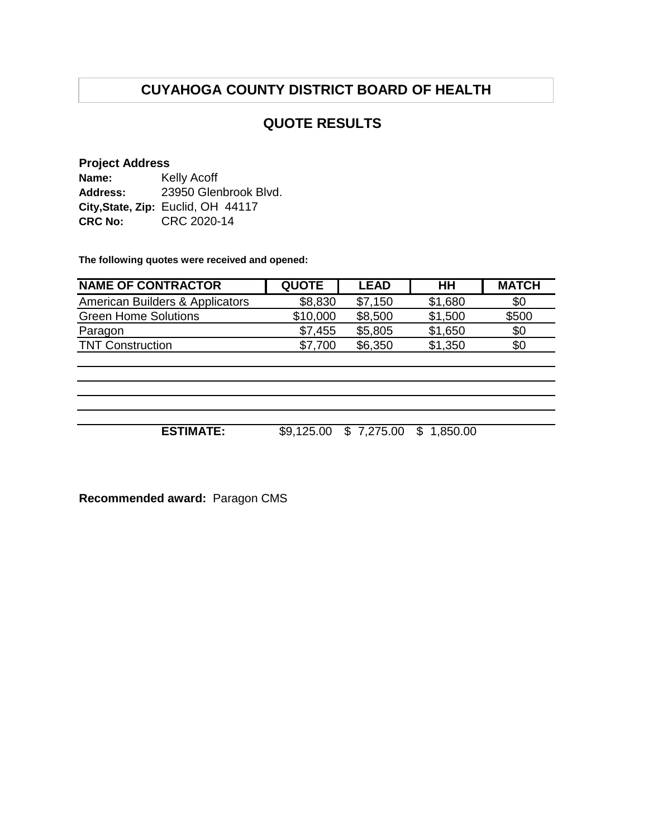#### **QUOTE RESULTS**

#### **Project Address**

| Name:          | Kelly Acoff                        |
|----------------|------------------------------------|
| Address:       | 23950 Glenbrook Blvd.              |
|                | City, State, Zip: Euclid, OH 44117 |
| <b>CRC No:</b> | CRC 2020-14                        |

**The following quotes were received and opened:**

| <b>NAME OF CONTRACTOR</b>                  | <b>QUOTE</b> | <b>LEAD</b> | HН      | <b>MATCH</b> |
|--------------------------------------------|--------------|-------------|---------|--------------|
| <b>American Builders &amp; Applicators</b> | \$8,830      | \$7,150     | \$1,680 | \$0          |
| <b>Green Home Solutions</b>                | \$10,000     | \$8,500     | \$1,500 | \$500        |
| Paragon                                    | \$7,455      | \$5,805     | \$1,650 | \$0          |
| <b>TNT Construction</b>                    | \$7,700      | \$6,350     | \$1,350 | \$0          |
|                                            |              |             |         |              |
|                                            |              |             |         |              |

**ESTIMATE:** \$9,125.00 \$ 7,275.00 \$ 1,850.00

**Recommended award:** Paragon CMS